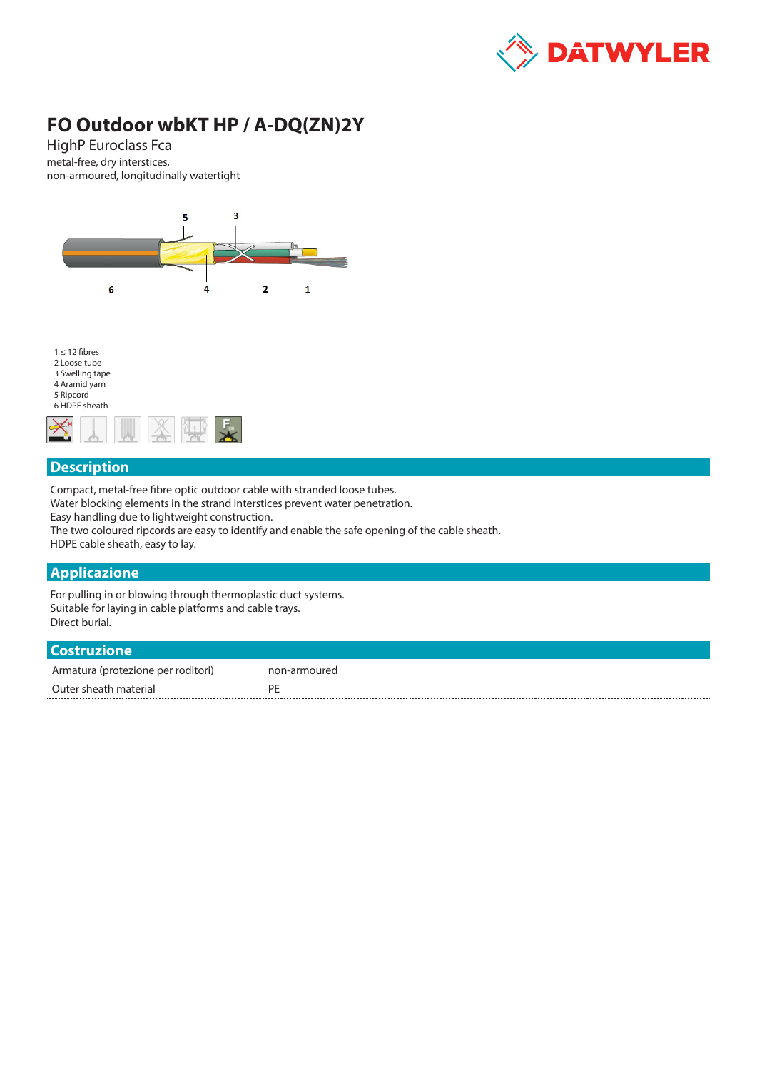

# **FO Outdoor wbKT HP / A-DQ(ZN)2Y**

HighP Euroclass Fca metal-free, dry interstices, non-armoured, longitudinally watertight





### **Description**

Compact, metal-free fibre optic outdoor cable with stranded loose tubes.

Water blocking elements in the strand interstices prevent water penetration.

Easy handling due to lightweight construction.

The two coloured ripcords are easy to identify and enable the safe opening of the cable sheath. HDPE cable sheath, easy to lay.

#### **Applicazione**

For pulling in or blowing through thermoplastic duct systems. Suitable for laying in cable platforms and cable trays. Direct burial.

| <b>Costruzione</b>                 |              |
|------------------------------------|--------------|
| Armatura (protezione per roditori) | non-armoured |
| Outer sheath material              | PF           |